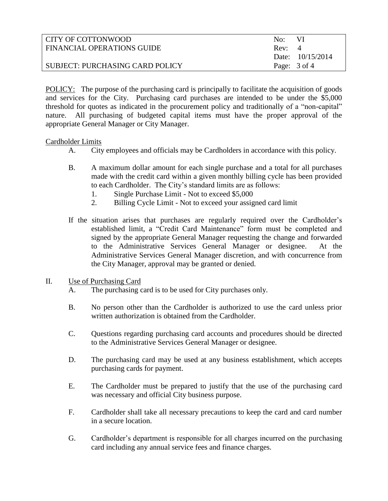| CITY OF COTTONWOOD              | No: VI |                         |
|---------------------------------|--------|-------------------------|
| FINANCIAL OPERATIONS GUIDE      | Rev: 4 |                         |
|                                 |        | Date: $10/15/2014$      |
| SUBJECT: PURCHASING CARD POLICY |        | Page: $3 \text{ of } 4$ |

POLICY: The purpose of the purchasing card is principally to facilitate the acquisition of goods and services for the City. Purchasing card purchases are intended to be under the \$5,000 threshold for quotes as indicated in the procurement policy and traditionally of a "non-capital" nature. All purchasing of budgeted capital items must have the proper approval of the appropriate General Manager or City Manager.

### Cardholder Limits

- A. City employees and officials may be Cardholders in accordance with this policy.
- B. A maximum dollar amount for each single purchase and a total for all purchases made with the credit card within a given monthly billing cycle has been provided to each Cardholder. The City's standard limits are as follows:
	- 1. Single Purchase Limit Not to exceed \$5,000
	- 2. Billing Cycle Limit Not to exceed your assigned card limit
- If the situation arises that purchases are regularly required over the Cardholder's established limit, a "Credit Card Maintenance" form must be completed and signed by the appropriate General Manager requesting the change and forwarded to the Administrative Services General Manager or designee. At the Administrative Services General Manager discretion, and with concurrence from the City Manager, approval may be granted or denied.

### II. Use of Purchasing Card

- A. The purchasing card is to be used for City purchases only.
- B. No person other than the Cardholder is authorized to use the card unless prior written authorization is obtained from the Cardholder.
- C. Questions regarding purchasing card accounts and procedures should be directed to the Administrative Services General Manager or designee.
- D. The purchasing card may be used at any business establishment, which accepts purchasing cards for payment.
- E. The Cardholder must be prepared to justify that the use of the purchasing card was necessary and official City business purpose.
- F. Cardholder shall take all necessary precautions to keep the card and card number in a secure location.
- G. Cardholder's department is responsible for all charges incurred on the purchasing card including any annual service fees and finance charges.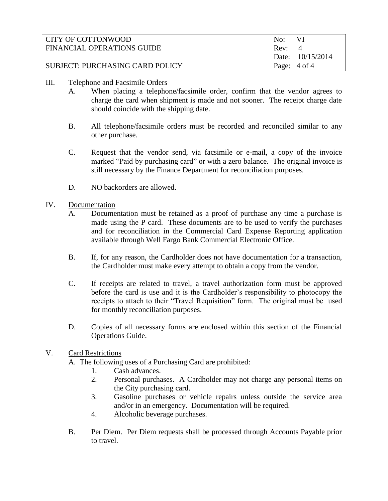| CITY OF COTTONWOOD              | No: VI |                         |
|---------------------------------|--------|-------------------------|
| FINANCIAL OPERATIONS GUIDE      | Rev: 4 |                         |
|                                 |        | Date: 10/15/2014        |
| SUBJECT: PURCHASING CARD POLICY |        | Page: $4 \text{ of } 4$ |
|                                 |        |                         |

- III. Telephone and Facsimile Orders
	- A. When placing a telephone/facsimile order, confirm that the vendor agrees to charge the card when shipment is made and not sooner. The receipt charge date should coincide with the shipping date.
	- B. All telephone/facsimile orders must be recorded and reconciled similar to any other purchase.
	- C. Request that the vendor send, via facsimile or e-mail, a copy of the invoice marked "Paid by purchasing card" or with a zero balance. The original invoice is still necessary by the Finance Department for reconciliation purposes.
	- D. NO backorders are allowed.

# IV. Documentation

- A. Documentation must be retained as a proof of purchase any time a purchase is made using the P card. These documents are to be used to verify the purchases and for reconciliation in the Commercial Card Expense Reporting application available through Well Fargo Bank Commercial Electronic Office.
- B. If, for any reason, the Cardholder does not have documentation for a transaction, the Cardholder must make every attempt to obtain a copy from the vendor.
- C. If receipts are related to travel, a travel authorization form must be approved before the card is use and it is the Cardholder's responsibility to photocopy the receipts to attach to their "Travel Requisition" form. The original must be used for monthly reconciliation purposes.
- D. Copies of all necessary forms are enclosed within this section of the Financial Operations Guide.

# V. Card Restrictions

A. The following uses of a Purchasing Card are prohibited:

- 1. Cash advances.
- 2. Personal purchases. A Cardholder may not charge any personal items on the City purchasing card.
- 3. Gasoline purchases or vehicle repairs unless outside the service area and/or in an emergency. Documentation will be required.
- 4. Alcoholic beverage purchases.
- B. Per Diem. Per Diem requests shall be processed through Accounts Payable prior to travel.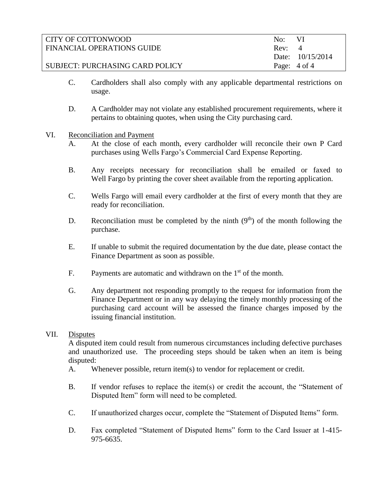| CITY OF COTTONWOOD              | No:    | – VI                    |
|---------------------------------|--------|-------------------------|
| FINANCIAL OPERATIONS GUIDE      | Rev: 4 |                         |
|                                 |        | Date: 10/15/2014        |
| SUBJECT: PURCHASING CARD POLICY |        | Page: $4 \text{ of } 4$ |

- C. Cardholders shall also comply with any applicable departmental restrictions on usage.
- D. A Cardholder may not violate any established procurement requirements, where it pertains to obtaining quotes, when using the City purchasing card.
- VI. Reconciliation and Payment
	- A. At the close of each month, every cardholder will reconcile their own P Card purchases using Wells Fargo's Commercial Card Expense Reporting.
	- B. Any receipts necessary for reconciliation shall be emailed or faxed to Well Fargo by printing the cover sheet available from the reporting application.
	- C. Wells Fargo will email every cardholder at the first of every month that they are ready for reconciliation.
	- D. Reconciliation must be completed by the ninth  $(9<sup>th</sup>)$  of the month following the purchase.
	- E. If unable to submit the required documentation by the due date, please contact the Finance Department as soon as possible.
	- F. Payments are automatic and withdrawn on the  $1<sup>st</sup>$  of the month.
	- G. Any department not responding promptly to the request for information from the Finance Department or in any way delaying the timely monthly processing of the purchasing card account will be assessed the finance charges imposed by the issuing financial institution.

### VII. Disputes

A disputed item could result from numerous circumstances including defective purchases and unauthorized use. The proceeding steps should be taken when an item is being disputed:

- A. Whenever possible, return item(s) to vendor for replacement or credit.
- B. If vendor refuses to replace the item(s) or credit the account, the "Statement of Disputed Item" form will need to be completed.
- C. If unauthorized charges occur, complete the "Statement of Disputed Items" form.
- D. Fax completed "Statement of Disputed Items" form to the Card Issuer at 1-415- 975-6635.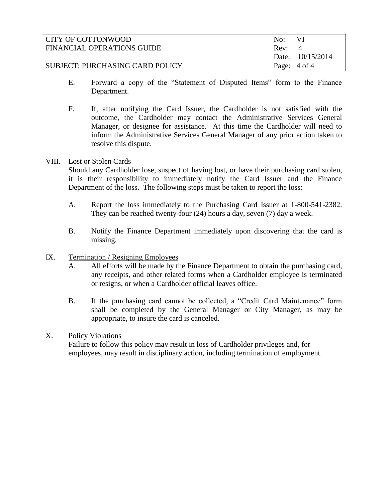| CITY OF COTTONWOOD              | No: VI                  |
|---------------------------------|-------------------------|
| FINANCIAL OPERATIONS GUIDE      | Rev: 4                  |
|                                 | Date: $10/15/2014$      |
| SUBJECT: PURCHASING CARD POLICY | Page: $4 \text{ of } 4$ |

- E. Forward a copy of the "Statement of Disputed Items" form to the Finance Department.
- F. If, after notifying the Card Issuer, the Cardholder is not satisfied with the outcome, the Cardholder may contact the Administrative Services General Manager, or designee for assistance. At this time the Cardholder will need to inform the Administrative Services General Manager of any prior action taken to resolve this dispute.

### VIII. Lost or Stolen Cards

Should any Cardholder lose, suspect of having lost, or have their purchasing card stolen, it is their responsibility to immediately notify the Card Issuer and the Finance Department of the loss. The following steps must be taken to report the loss:

- A. Report the loss immediately to the Purchasing Card Issuer at 1-800-541-2382. They can be reached twenty-four (24) hours a day, seven (7) day a week.
- B. Notify the Finance Department immediately upon discovering that the card is missing.

# IX. Termination / Resigning Employees

- A. All efforts will be made by the Finance Department to obtain the purchasing card, any receipts, and other related forms when a Cardholder employee is terminated or resigns, or when a Cardholder official leaves office.
- B. If the purchasing card cannot be collected, a "Credit Card Maintenance" form shall be completed by the General Manager or City Manager, as may be appropriate, to insure the card is canceled.

### X. Policy Violations

Failure to follow this policy may result in loss of Cardholder privileges and, for employees, may result in disciplinary action, including termination of employment.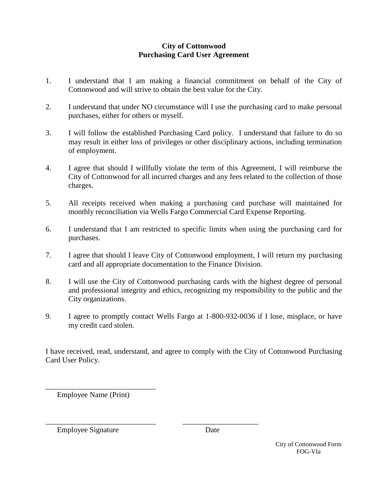# **City of Cottonwood Purchasing Card User Agreement**

- 1. I understand that I am making a financial commitment on behalf of the City of Cottonwood and will strive to obtain the best value for the City.
- 2. I understand that under NO circumstance will I use the purchasing card to make personal purchases, either for others or myself.
- 3. I will follow the established Purchasing Card policy. I understand that failure to do so may result in either loss of privileges or other disciplinary actions, including termination of employment.
- 4. I agree that should I willfully violate the term of this Agreement, I will reimburse the City of Cottonwood for all incurred charges and any fees related to the collection of those charges.
- 5. All receipts received when making a purchasing card purchase will maintained for monthly reconciliation via Wells Fargo Commercial Card Expense Reporting.
- 6. I understand that I am restricted to specific limits when using the purchasing card for purchases.
- 7. I agree that should I leave City of Cottonwood employment, I will return my purchasing card and all appropriate documentation to the Finance Division.
- 8. I will use the City of Cottonwood purchasing cards with the highest degree of personal and professional integrity and ethics, recognizing my responsibility to the public and the City organizations.
- 9. I agree to promptly contact Wells Fargo at 1-800-932-0036 if I lose, misplace, or have my credit card stolen.

I have received, read, understand, and agree to comply with the City of Cottonwood Purchasing Card User Policy.

\_\_\_\_\_\_\_\_\_\_\_\_\_\_\_\_\_\_\_\_\_\_\_\_\_\_\_\_\_ \_\_\_\_\_\_\_\_\_\_\_\_\_\_\_\_\_\_\_\_

Employee Name (Print)

\_\_\_\_\_\_\_\_\_\_\_\_\_\_\_\_\_\_\_\_\_\_\_\_\_\_\_\_\_

Employee Signature Date

City of Cottonwood Form FOG-VIa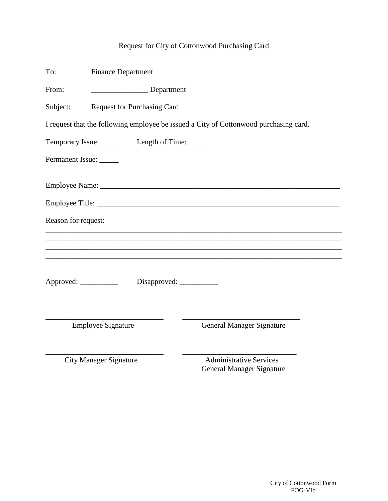# Request for City of Cottonwood Purchasing Card

| To:                    | <b>Finance Department</b>     |                                                                                       |  |  |  |
|------------------------|-------------------------------|---------------------------------------------------------------------------------------|--|--|--|
| From:                  | Department                    |                                                                                       |  |  |  |
| Subject:               | Request for Purchasing Card   |                                                                                       |  |  |  |
|                        |                               | I request that the following employee be issued a City of Cottonwood purchasing card. |  |  |  |
|                        |                               |                                                                                       |  |  |  |
| Permanent Issue:       |                               |                                                                                       |  |  |  |
|                        |                               |                                                                                       |  |  |  |
|                        |                               |                                                                                       |  |  |  |
| Reason for request:    |                               |                                                                                       |  |  |  |
|                        |                               |                                                                                       |  |  |  |
|                        |                               |                                                                                       |  |  |  |
| Approved: ____________ |                               |                                                                                       |  |  |  |
|                        | <b>Employee Signature</b>     | <b>General Manager Signature</b>                                                      |  |  |  |
|                        | <b>City Manager Signature</b> | <b>Administrative Services</b><br>General Manager Signature                           |  |  |  |

City of Cottonwood Form FOG-VIb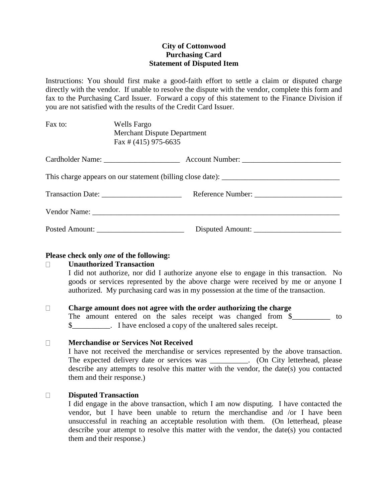### **City of Cottonwood Purchasing Card Statement of Disputed Item**

Instructions: You should first make a good-faith effort to settle a claim or disputed charge directly with the vendor. If unable to resolve the dispute with the vendor, complete this form and fax to the Purchasing Card Issuer. Forward a copy of this statement to the Finance Division if you are not satisfied with the results of the Credit Card Issuer.

Fax to: Wells Fargo Merchant Dispute Department Fax # (415) 975-6635

# **Please check only** *one* **of the following:**

#### **Unauthorized Transaction**  $\Box$

I did not authorize, nor did I authorize anyone else to engage in this transaction. No goods or services represented by the above charge were received by me or anyone I authorized. My purchasing card was in my possession at the time of the transaction.

#### $\Box$ **Charge amount does not agree with the order authorizing the charge**

The amount entered on the sales receipt was changed from \$\_\_\_\_\_\_\_\_\_\_\_ to  $\frac{1}{2}$  . I have enclosed a copy of the unaltered sales receipt.

#### $\Box$ **Merchandise or Services Not Received**

I have not received the merchandise or services represented by the above transaction. The expected delivery date or services was . (On City letterhead, please describe any attempts to resolve this matter with the vendor, the date(s) you contacted them and their response.)

#### **Disputed Transaction**  $\Box$

I did engage in the above transaction, which I am now disputing. I have contacted the vendor, but I have been unable to return the merchandise and /or I have been unsuccessful in reaching an acceptable resolution with them. (On letterhead, please describe your attempt to resolve this matter with the vendor, the date(s) you contacted them and their response.)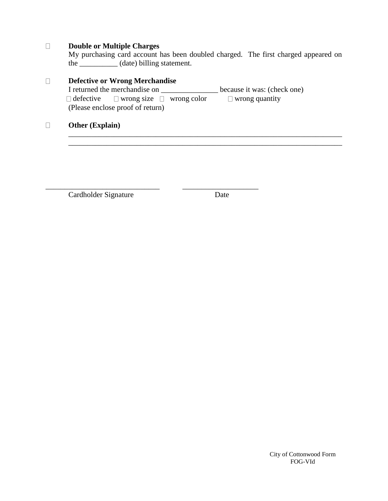#### $\Box$ **Double or Multiple Charges**

My purchasing card account has been doubled charged. The first charged appeared on the \_\_\_\_\_\_\_\_\_\_ (date) billing statement.

\_\_\_\_\_\_\_\_\_\_\_\_\_\_\_\_\_\_\_\_\_\_\_\_\_\_\_\_\_\_\_\_\_\_\_\_\_\_\_\_\_\_\_\_\_\_\_\_\_\_\_\_\_\_\_\_\_\_\_\_\_\_\_\_\_\_\_\_\_\_\_\_

#### **Defective or Wrong Merchandise**  $\Box$ I returned the merchandise on \_\_\_\_\_\_\_\_\_\_\_\_\_\_\_ because it was: (check one)  $\Box$  defective  $\Box$  wrong size  $\Box$  wrong color  $\Box$  wrong quantity (Please enclose proof of return)

\_\_\_\_\_\_\_\_\_\_\_\_\_\_\_\_\_\_\_\_\_\_\_\_\_\_\_\_\_\_ \_\_\_\_\_\_\_\_\_\_\_\_\_\_\_\_\_\_\_\_

#### **Other (Explain)**  $\Box$

Cardholder Signature Date

City of Cottonwood Form FOG-VId